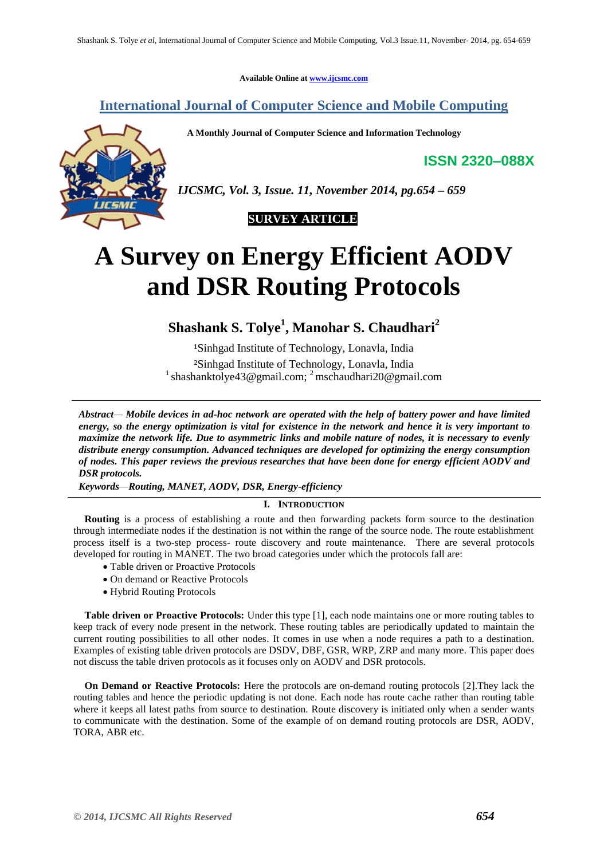**Available Online at [www.ijcsmc.com](http://www.ijcsmc.com/)**

# **International Journal of Computer Science and Mobile Computing**

 **A Monthly Journal of Computer Science and Information Technology**

**ISSN 2320–088X**



*IJCSMC, Vol. 3, Issue. 11, November 2014, pg.654 – 659*



# **A Survey on Energy Efficient AODV and DSR Routing Protocols**

**Shashank S. Tolye<sup>1</sup> , Manohar S. Chaudhari<sup>2</sup>**

<sup>1</sup>Sinhgad Institute of Technology, Lonavla, India ²Sinhgad Institute of Technology, Lonavla, India <sup>1</sup> shashanktolye43@gmail.com; <sup>2</sup> mschaudhari20@gmail.com

*Abstract— Mobile devices in ad-hoc network are operated with the help of battery power and have limited energy, so the energy optimization is vital for existence in the network and hence it is very important to maximize the network life. Due to asymmetric links and mobile nature of nodes, it is necessary to evenly distribute energy consumption. Advanced techniques are developed for optimizing the energy consumption of nodes. This paper reviews the previous researches that have been done for energy efficient AODV and DSR protocols.*

*Keywords—Routing, MANET, AODV, DSR, Energy-efficiency*

# **I. INTRODUCTION**

**Routing** is a process of establishing a route and then forwarding packets form source to the destination through intermediate nodes if the destination is not within the range of the source node. The route establishment process itself is a two-step process- route discovery and route maintenance. There are several protocols developed for routing in MANET. The two broad categories under which the protocols fall are:

- Table driven or Proactive Protocols
- On demand or Reactive Protocols
- Hybrid Routing Protocols

**Table driven or Proactive Protocols:** Under this type [1], each node maintains one or more routing tables to keep track of every node present in the network. These routing tables are periodically updated to maintain the current routing possibilities to all other nodes. It comes in use when a node requires a path to a destination. Examples of existing table driven protocols are DSDV, DBF, GSR, WRP, ZRP and many more. This paper does not discuss the table driven protocols as it focuses only on AODV and DSR protocols.

**On Demand or Reactive Protocols:** Here the protocols are on-demand routing protocols [2].They lack the routing tables and hence the periodic updating is not done. Each node has route cache rather than routing table where it keeps all latest paths from source to destination. Route discovery is initiated only when a sender wants to communicate with the destination. Some of the example of on demand routing protocols are DSR, AODV, TORA, ABR etc.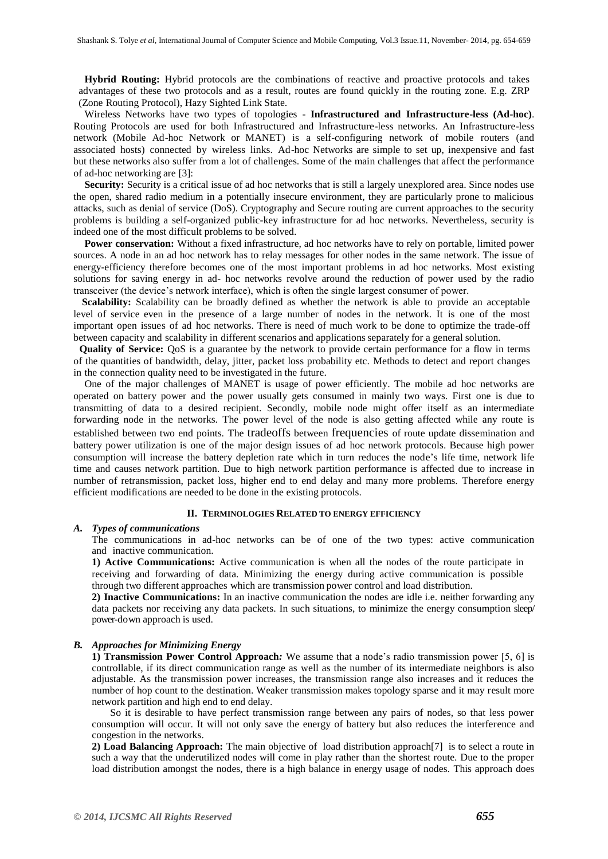**Hybrid Routing:** Hybrid protocols are the combinations of reactive and proactive protocols and takes advantages of these two protocols and as a result, routes are found quickly in the routing zone. E.g. ZRP (Zone Routing Protocol), Hazy Sighted Link State.

Wireless Networks have two types of topologies - **Infrastructured and Infrastructure-less (Ad-hoc)**. Routing Protocols are used for both Infrastructured and Infrastructure-less networks. An Infrastructure-less network (Mobile Ad-hoc Network or MANET) is a self-configuring network of mobile routers (and associated hosts) connected by wireless links. Ad-hoc Networks are simple to set up, inexpensive and fast but these networks also suffer from a lot of challenges. Some of the main challenges that affect the performance of ad-hoc networking are [3]:

**Security:** Security is a critical issue of ad hoc networks that is still a largely unexplored area. Since nodes use the open, shared radio medium in a potentially insecure environment, they are particularly prone to malicious attacks, such as denial of service (DoS). Cryptography and Secure routing are current approaches to the security problems is building a self-organized public-key infrastructure for ad hoc networks. Nevertheless, security is indeed one of the most difficult problems to be solved.

**Power conservation:** Without a fixed infrastructure, ad hoc networks have to rely on portable, limited power sources. A node in an ad hoc network has to relay messages for other nodes in the same network. The issue of energy-efficiency therefore becomes one of the most important problems in ad hoc networks. Most existing solutions for saving energy in ad- hoc networks revolve around the reduction of power used by the radio transceiver (the device's network interface), which is often the single largest consumer of power.

**Scalability:** Scalability can be broadly defined as whether the network is able to provide an acceptable level of service even in the presence of a large number of nodes in the network. It is one of the most important open issues of ad hoc networks. There is need of much work to be done to optimize the trade-off between capacity and scalability in different scenarios and applications separately for a general solution.

**Quality of Service:** QoS is a guarantee by the network to provide certain performance for a flow in terms of the quantities of bandwidth, delay, jitter, packet loss probability etc. Methods to detect and report changes in the connection quality need to be investigated in the future.

One of the major challenges of MANET is usage of power efficiently. The mobile ad hoc networks are operated on battery power and the power usually gets consumed in mainly two ways. First one is due to transmitting of data to a desired recipient. Secondly, mobile node might offer itself as an intermediate forwarding node in the networks. The power level of the node is also getting affected while any route is established between two end points. The tradeoffs between frequencies of route update dissemination and battery power utilization is one of the major design issues of ad hoc network protocols. Because high power consumption will increase the battery depletion rate which in turn reduces the node's life time, network life time and causes network partition. Due to high network partition performance is affected due to increase in number of retransmission, packet loss, higher end to end delay and many more problems. Therefore energy efficient modifications are needed to be done in the existing protocols.

#### **II. TERMINOLOGIES RELATED TO ENERGY EFFICIENCY**

#### *A. Types of communications*

The communications in ad-hoc networks can be of one of the two types: active communication and inactive communication.

**1) Active Communications:** Active communication is when all the nodes of the route participate in receiving and forwarding of data. Minimizing the energy during active communication is possible through two different approaches which are transmission power control and load distribution.

**2) Inactive Communications:** In an inactive communication the nodes are idle i.e. neither forwarding any data packets nor receiving any data packets. In such situations, to minimize the energy consumption sleep/ power-down approach is used.

# *B. Approaches for Minimizing Energy*

**1) Transmission Power Control Approach***:* We assume that a node's radio transmission power [5, 6] is controllable, if its direct communication range as well as the number of its intermediate neighbors is also adjustable. As the transmission power increases, the transmission range also increases and it reduces the number of hop count to the destination. Weaker transmission makes topology sparse and it may result more network partition and high end to end delay.

So it is desirable to have perfect transmission range between any pairs of nodes, so that less power consumption will occur. It will not only save the energy of battery but also reduces the interference and congestion in the networks.

**2) Load Balancing Approach:** The main objective of load distribution approach[7] is to select a route in such a way that the underutilized nodes will come in play rather than the shortest route. Due to the proper load distribution amongst the nodes, there is a high balance in energy usage of nodes. This approach does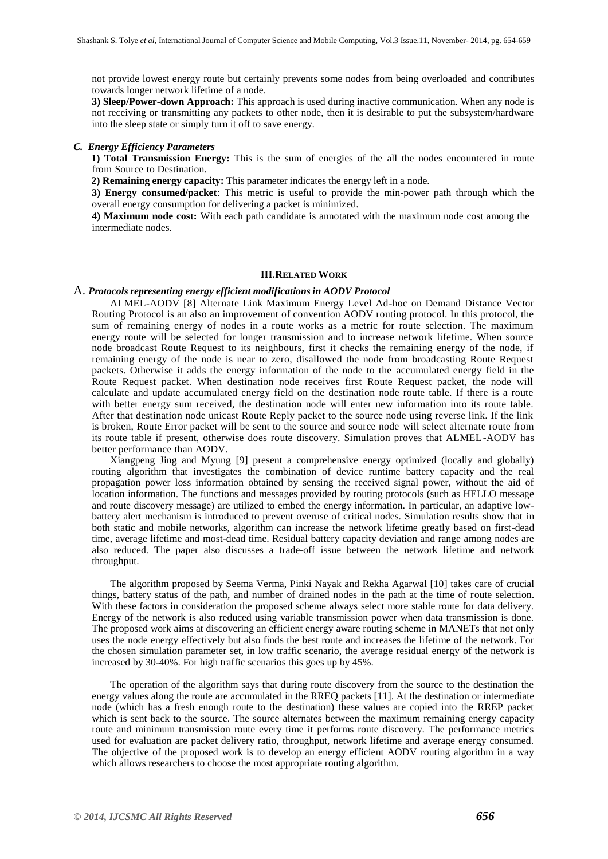not provide lowest energy route but certainly prevents some nodes from being overloaded and contributes towards longer network lifetime of a node.

**3) Sleep/Power-down Approach:** This approach is used during inactive communication. When any node is not receiving or transmitting any packets to other node, then it is desirable to put the subsystem/hardware into the sleep state or simply turn it off to save energy.

### *C. Energy Efficiency Parameters*

 **1) Total Transmission Energy:** This is the sum of energies of the all the nodes encountered in route from Source to Destination.

 **2) Remaining energy capacity:** This parameter indicates the energy left in a node.

**3) Energy consumed/packet**: This metric is useful to provide the min-power path through which the overall energy consumption for delivering a packet is minimized.

**4) Maximum node cost:** With each path candidate is annotated with the maximum node cost among the intermediate nodes.

# **III.RELATED WORK**

#### A. *Protocols representing energy efficient modificationsin AODV Protocol*

ALMEL-AODV [8] Alternate Link Maximum Energy Level Ad-hoc on Demand Distance Vector Routing Protocol is an also an improvement of convention AODV routing protocol. In this protocol, the sum of remaining energy of nodes in a route works as a metric for route selection. The maximum energy route will be selected for longer transmission and to increase network lifetime. When source node broadcast Route Request to its neighbours, first it checks the remaining energy of the node, if remaining energy of the node is near to zero, disallowed the node from broadcasting Route Request packets. Otherwise it adds the energy information of the node to the accumulated energy field in the Route Request packet. When destination node receives first Route Request packet, the node will calculate and update accumulated energy field on the destination node route table. If there is a route with better energy sum received, the destination node will enter new information into its route table. After that destination node unicast Route Reply packet to the source node using reverse link. If the link is broken, Route Error packet will be sent to the source and source node will select alternate route from its route table if present, otherwise does route discovery. Simulation proves that ALMEL-AODV has better performance than AODV.

Xiangpeng Jing and Myung [9] present a comprehensive energy optimized (locally and globally) routing algorithm that investigates the combination of device runtime battery capacity and the real propagation power loss information obtained by sensing the received signal power, without the aid of location information. The functions and messages provided by routing protocols (such as HELLO message and route discovery message) are utilized to embed the energy information. In particular, an adaptive lowbattery alert mechanism is introduced to prevent overuse of critical nodes. Simulation results show that in both static and mobile networks, algorithm can increase the network lifetime greatly based on first-dead time, average lifetime and most-dead time. Residual battery capacity deviation and range among nodes are also reduced. The paper also discusses a trade-off issue between the network lifetime and network throughput.

The algorithm proposed by Seema Verma, Pinki Nayak and Rekha Agarwal [10] takes care of crucial things, battery status of the path, and number of drained nodes in the path at the time of route selection. With these factors in consideration the proposed scheme always select more stable route for data delivery. Energy of the network is also reduced using variable transmission power when data transmission is done. The proposed work aims at discovering an efficient energy aware routing scheme in MANETs that not only uses the node energy effectively but also finds the best route and increases the lifetime of the network. For the chosen simulation parameter set, in low traffic scenario, the average residual energy of the network is increased by 30-40%. For high traffic scenarios this goes up by 45%.

The operation of the algorithm says that during route discovery from the source to the destination the energy values along the route are accumulated in the RREQ packets [11]. At the destination or intermediate node (which has a fresh enough route to the destination) these values are copied into the RREP packet which is sent back to the source. The source alternates between the maximum remaining energy capacity route and minimum transmission route every time it performs route discovery. The performance metrics used for evaluation are packet delivery ratio, throughput, network lifetime and average energy consumed. The objective of the proposed work is to develop an energy efficient AODV routing algorithm in a way which allows researchers to choose the most appropriate routing algorithm.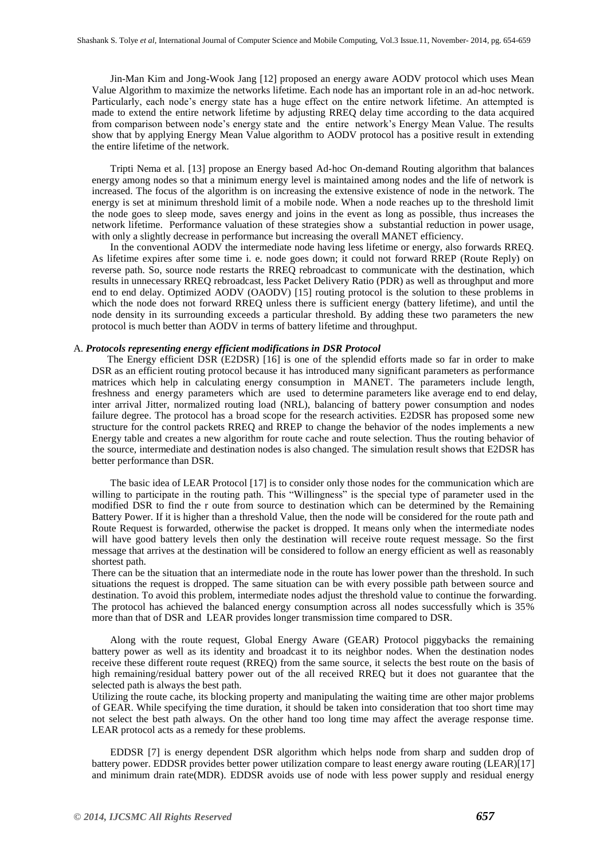Jin-Man Kim and Jong-Wook Jang [12] proposed an energy aware AODV protocol which uses Mean Value Algorithm to maximize the networks lifetime. Each node has an important role in an ad-hoc network. Particularly, each node's energy state has a huge effect on the entire network lifetime. An attempted is made to extend the entire network lifetime by adjusting RREQ delay time according to the data acquired from comparison between node's energy state and the entire network's Energy Mean Value. The results show that by applying Energy Mean Value algorithm to AODV protocol has a positive result in extending the entire lifetime of the network.

Tripti Nema et al. [13] propose an Energy based Ad-hoc On-demand Routing algorithm that balances energy among nodes so that a minimum energy level is maintained among nodes and the life of network is increased. The focus of the algorithm is on increasing the extensive existence of node in the network. The energy is set at minimum threshold limit of a mobile node. When a node reaches up to the threshold limit the node goes to sleep mode, saves energy and joins in the event as long as possible, thus increases the network lifetime. Performance valuation of these strategies show a substantial reduction in power usage, with only a slightly decrease in performance but increasing the overall MANET efficiency.

In the conventional AODV the intermediate node having less lifetime or energy, also forwards RREQ. As lifetime expires after some time i. e. node goes down; it could not forward RREP (Route Reply) on reverse path. So, source node restarts the RREQ rebroadcast to communicate with the destination, which results in unnecessary RREQ rebroadcast, less Packet Delivery Ratio (PDR) as well as throughput and more end to end delay. Optimized AODV (OAODV) [15] routing protocol is the solution to these problems in which the node does not forward RREQ unless there is sufficient energy (battery lifetime), and until the node density in its surrounding exceeds a particular threshold. By adding these two parameters the new protocol is much better than AODV in terms of battery lifetime and throughput.

#### A. *Protocols representing energy efficient modifications in DSR Protocol*

 The Energy efficient DSR (E2DSR) [16] is one of the splendid efforts made so far in order to make DSR as an efficient routing protocol because it has introduced many significant parameters as performance matrices which help in calculating energy consumption in MANET. The parameters include length, freshness and energy parameters which are used to determine parameters like average end to end delay, inter arrival Jitter, normalized routing load (NRL), balancing of battery power consumption and nodes failure degree. The protocol has a broad scope for the research activities. E2DSR has proposed some new structure for the control packets RREQ and RREP to change the behavior of the nodes implements a new Energy table and creates a new algorithm for route cache and route selection. Thus the routing behavior of the source, intermediate and destination nodes is also changed. The simulation result shows that E2DSR has better performance than DSR.

The basic idea of LEAR Protocol [17] is to consider only those nodes for the communication which are willing to participate in the routing path. This "Willingness" is the special type of parameter used in the modified DSR to find the r oute from source to destination which can be determined by the Remaining Battery Power. If it is higher than a threshold Value, then the node will be considered for the route path and Route Request is forwarded, otherwise the packet is dropped. It means only when the intermediate nodes will have good battery levels then only the destination will receive route request message. So the first message that arrives at the destination will be considered to follow an energy efficient as well as reasonably shortest path.

There can be the situation that an intermediate node in the route has lower power than the threshold. In such situations the request is dropped. The same situation can be with every possible path between source and destination. To avoid this problem, intermediate nodes adjust the threshold value to continue the forwarding. The protocol has achieved the balanced energy consumption across all nodes successfully which is 35% more than that of DSR and LEAR provides longer transmission time compared to DSR.

Along with the route request, Global Energy Aware (GEAR) Protocol piggybacks the remaining battery power as well as its identity and broadcast it to its neighbor nodes. When the destination nodes receive these different route request (RREQ) from the same source, it selects the best route on the basis of high remaining/residual battery power out of the all received RREQ but it does not guarantee that the selected path is always the best path.

Utilizing the route cache, its blocking property and manipulating the waiting time are other major problems of GEAR. While specifying the time duration, it should be taken into consideration that too short time may not select the best path always. On the other hand too long time may affect the average response time. LEAR protocol acts as a remedy for these problems.

EDDSR [7] is energy dependent DSR algorithm which helps node from sharp and sudden drop of battery power. EDDSR provides better power utilization compare to least energy aware routing (LEAR)[17] and minimum drain rate(MDR). EDDSR avoids use of node with less power supply and residual energy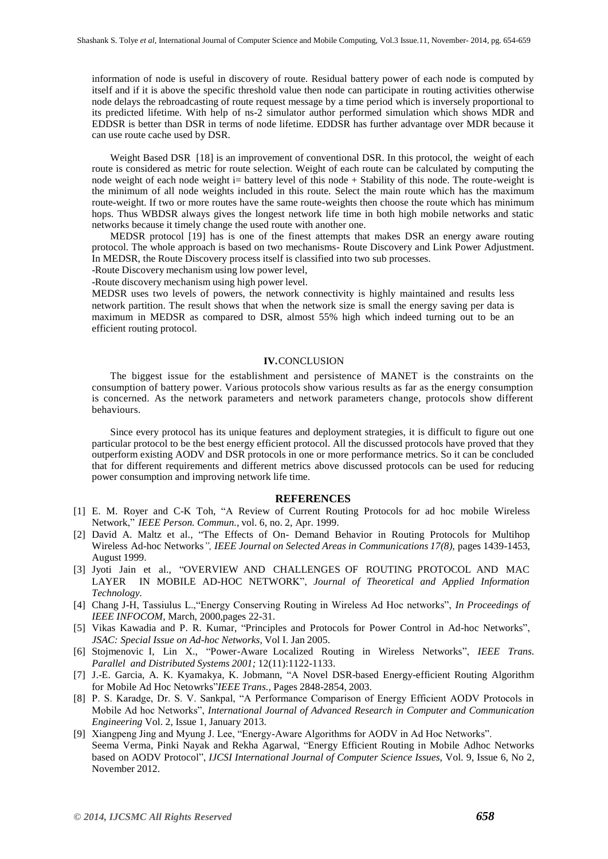information of node is useful in discovery of route. Residual battery power of each node is computed by itself and if it is above the specific threshold value then node can participate in routing activities otherwise node delays the rebroadcasting of route request message by a time period which is inversely proportional to its predicted lifetime. With help of ns-2 simulator author performed simulation which shows MDR and EDDSR is better than DSR in terms of node lifetime. EDDSR has further advantage over MDR because it can use route cache used by DSR.

Weight Based DSR [18] is an improvement of conventional DSR. In this protocol, the weight of each route is considered as metric for route selection. Weight of each route can be calculated by computing the node weight of each node weight i= battery level of this node + Stability of this node. The route-weight is the minimum of all node weights included in this route. Select the main route which has the maximum route-weight. If two or more routes have the same route-weights then choose the route which has minimum hops. Thus WBDSR always gives the longest network life time in both high mobile networks and static networks because it timely change the used route with another one.

MEDSR protocol [19] has is one of the finest attempts that makes DSR an energy aware routing protocol. The whole approach is based on two mechanisms- Route Discovery and Link Power Adjustment. In MEDSR, the Route Discovery process itself is classified into two sub processes.

-Route Discovery mechanism using low power level,

-Route discovery mechanism using high power level.

MEDSR uses two levels of powers, the network connectivity is highly maintained and results less network partition. The result shows that when the network size is small the energy saving per data is maximum in MEDSR as compared to DSR, almost 55% high which indeed turning out to be an efficient routing protocol.

# **IV.**CONCLUSION

The biggest issue for the establishment and persistence of MANET is the constraints on the consumption of battery power. Various protocols show various results as far as the energy consumption is concerned. As the network parameters and network parameters change, protocols show different behaviours.

Since every protocol has its unique features and deployment strategies, it is difficult to figure out one particular protocol to be the best energy efficient protocol. All the discussed protocols have proved that they outperform existing AODV and DSR protocols in one or more performance metrics. So it can be concluded that for different requirements and different metrics above discussed protocols can be used for reducing power consumption and improving network life time.

#### **REFERENCES**

- [1] E. M. Royer and C-K Toh, "A Review of Current Routing Protocols for ad hoc mobile Wireless Network," *IEEE Person. Commun.,* vol. 6, no. 2, Apr. 1999.
- [2] David A. Maltz et al., "The Effects of On- Demand Behavior in Routing Protocols for Multihop Wireless Ad-hoc Networks*", IEEE Journal on Selected Areas in Communications 17(8),* pages 1439-1453, August 1999.
- [3] Jyoti Jain et al., "OVERVIEW AND CHALLENGES OF ROUTING PROTOCOL AND MAC LAYER IN MOBILE AD-HOC NETWORK", *Journal of Theoretical and Applied Information Technology.*
- [4] Chang J-H, Tassiulus L.,"Energy Conserving Routing in Wireless Ad Hoc networks", *In Proceedings of IEEE INFOCOM,* March, 2000,pages 22-31.
- [5] Vikas Kawadia and P. R. Kumar, "Principles and Protocols for Power Control in Ad-hoc Networks", *JSAC: Special Issue on Ad-hoc Networks,* Vol I. Jan 2005.
- [6] Stojmenovic I, Lin X., "Power-Aware Localized Routing in Wireless Networks", *IEEE Trans. Parallel and Distributed Systems 2001;* 12(11):1122-1133.
- [7] J.-E. Garcia, A. K. Kyamakya, K. Jobmann, "A Novel DSR-based Energy-efficient Routing Algorithm for Mobile Ad Hoc Netowrks"*IEEE Trans.,* Pages 2848-2854, 2003.
- [8] P. S. Karadge, Dr. S. V. Sankpal, "A Performance Comparison of Energy Efficient AODV Protocols in Mobile Ad hoc Networks", *International Journal of Advanced Research in Computer and Communication Engineering* Vol. 2, Issue 1, January 2013.
- [9] Xiangpeng Jing and Myung J. Lee, "Energy-Aware Algorithms for AODV in Ad Hoc Networks". Seema Verma, Pinki Nayak and Rekha Agarwal, "Energy Efficient Routing in Mobile Adhoc Networks based on AODV Protocol", *IJCSI International Journal of Computer Science Issues,* Vol. 9, Issue 6, No 2, November 2012.